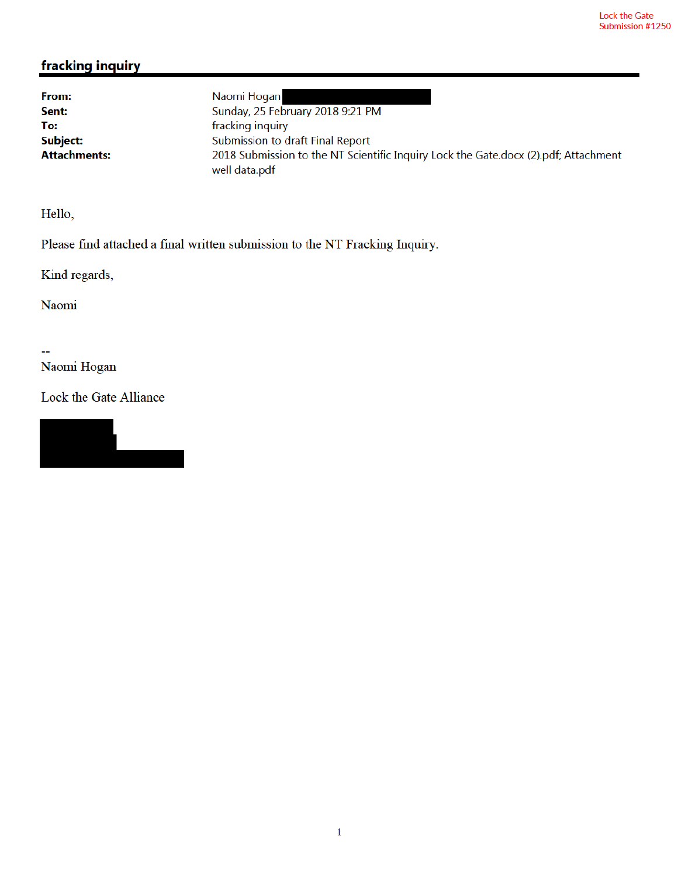# fracking inquiry

From: Sent: To: Subject: **Attachments:** 

Naomi Hogan Sunday, 25 February 2018 9:21 PM fracking inquiry Submission to draft Final Report 2018 Submission to the NT Scientific Inquiry Lock the Gate.docx (2).pdf; Attachment well data.pdf

Hello,

Please find attached a final written submission to the NT Fracking Inquiry.

Kind regards,

Naomi

Ξ.

Naomi Hogan

Lock the Gate Alliance

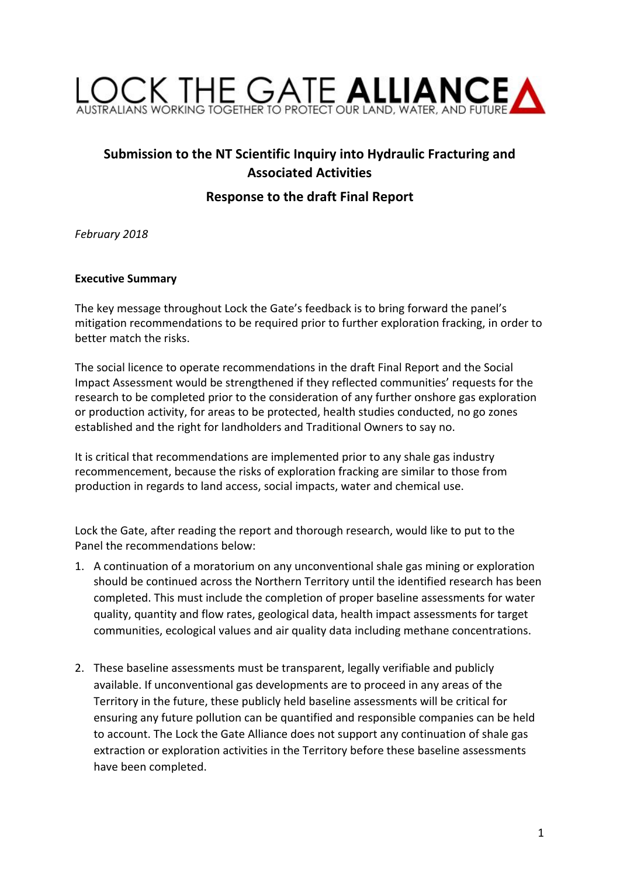

# **Submission to the NT Scientific Inquiry into Hydraulic Fracturing and Associated Activities**

# **Response to the draft Final Report**

*February 2018*

#### **Executive Summary**

The key message throughout Lock the Gate's feedback is to bring forward the panel's mitigation recommendations to be required prior to further exploration fracking, in order to better match the risks.

The social licence to operate recommendations in the draft Final Report and the Social Impact Assessment would be strengthened if they reflected communities' requests for the research to be completed prior to the consideration of any further onshore gas exploration or production activity, for areas to be protected, health studies conducted, no go zones established and the right for landholders and Traditional Owners to say no.

It is critical that recommendations are implemented prior to any shale gas industry recommencement, because the risks of exploration fracking are similar to those from production in regards to land access, social impacts, water and chemical use.

Lock the Gate, after reading the report and thorough research, would like to put to the Panel the recommendations below:

- 1. A continuation of a moratorium on any unconventional shale gas mining or exploration should be continued across the Northern Territory until the identified research has been completed. This must include the completion of proper baseline assessments for water quality, quantity and flow rates, geological data, health impact assessments for target communities, ecological values and air quality data including methane concentrations.
- 2. These baseline assessments must be transparent, legally verifiable and publicly available. If unconventional gas developments are to proceed in any areas of the Territory in the future, these publicly held baseline assessments will be critical for ensuring any future pollution can be quantified and responsible companies can be held to account. The Lock the Gate Alliance does not support any continuation of shale gas extraction or exploration activities in the Territory before these baseline assessments have been completed.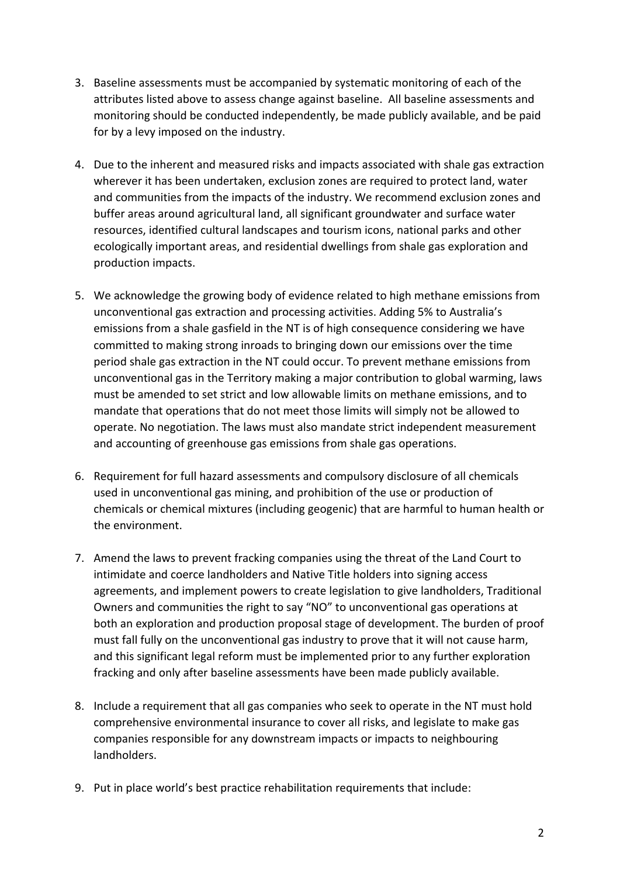- 3. Baseline assessments must be accompanied by systematic monitoring of each of the attributes listed above to assess change against baseline. All baseline assessments and monitoring should be conducted independently, be made publicly available, and be paid for by a levy imposed on the industry.
- 4. Due to the inherent and measured risks and impacts associated with shale gas extraction wherever it has been undertaken, exclusion zones are required to protect land, water and communities from the impacts of the industry. We recommend exclusion zones and buffer areas around agricultural land, all significant groundwater and surface water resources, identified cultural landscapes and tourism icons, national parks and other ecologically important areas, and residential dwellings from shale gas exploration and production impacts.
- 5. We acknowledge the growing body of evidence related to high methane emissions from unconventional gas extraction and processing activities. Adding 5% to Australia's emissions from a shale gasfield in the NT is of high consequence considering we have committed to making strong inroads to bringing down our emissions over the time period shale gas extraction in the NT could occur. To prevent methane emissions from unconventional gas in the Territory making a major contribution to global warming, laws must be amended to set strict and low allowable limits on methane emissions, and to mandate that operations that do not meet those limits will simply not be allowed to operate. No negotiation. The laws must also mandate strict independent measurement and accounting of greenhouse gas emissions from shale gas operations.
- 6. Requirement for full hazard assessments and compulsory disclosure of all chemicals used in unconventional gas mining, and prohibition of the use or production of chemicals or chemical mixtures (including geogenic) that are harmful to human health or the environment.
- 7. Amend the laws to prevent fracking companies using the threat of the Land Court to intimidate and coerce landholders and Native Title holders into signing access agreements, and implement powers to create legislation to give landholders, Traditional Owners and communities the right to say "NO" to unconventional gas operations at both an exploration and production proposal stage of development. The burden of proof must fall fully on the unconventional gas industry to prove that it will not cause harm, and this significant legal reform must be implemented prior to any further exploration fracking and only after baseline assessments have been made publicly available.
- 8. Include a requirement that all gas companies who seek to operate in the NT must hold comprehensive environmental insurance to cover all risks, and legislate to make gas companies responsible for any downstream impacts or impacts to neighbouring landholders.
- 9. Put in place world's best practice rehabilitation requirements that include: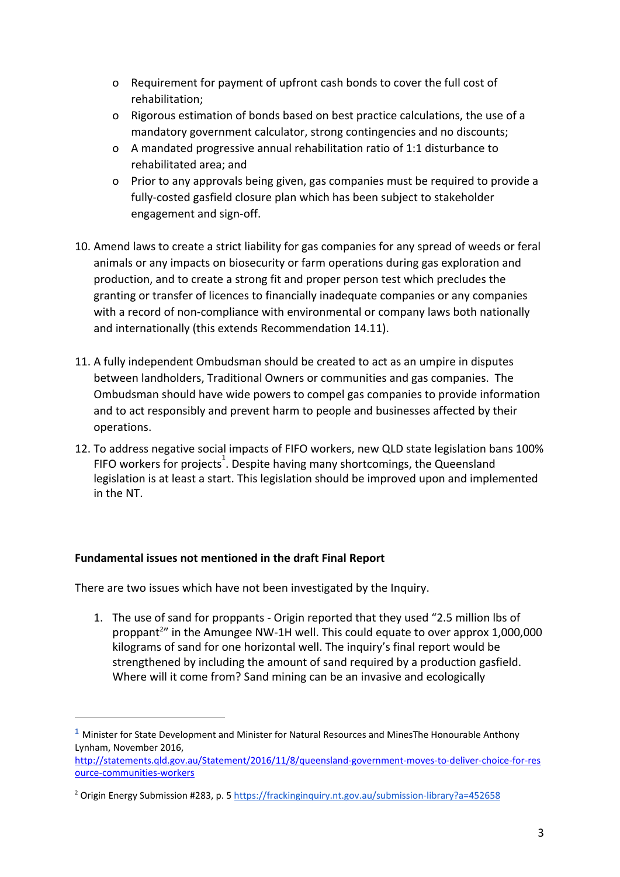- o Requirement for payment of upfront cash bonds to cover the full cost of rehabilitation;
- o Rigorous estimation of bonds based on best practice calculations, the use of a mandatory government calculator, strong contingencies and no discounts;
- o A mandated progressive annual rehabilitation ratio of 1:1 disturbance to rehabilitated area; and
- o Prior to any approvals being given, gas companies must be required to provide a fully-costed gasfield closure plan which has been subject to stakeholder engagement and sign-off.
- 10. Amend laws to create a strict liability for gas companies for any spread of weeds or feral animals or any impacts on biosecurity or farm operations during gas exploration and production, and to create a strong fit and proper person test which precludes the granting or transfer of licences to financially inadequate companies or any companies with a record of non-compliance with environmental or company laws both nationally and internationally (this extends Recommendation 14.11).
- 11. A fully independent Ombudsman should be created to act as an umpire in disputes between landholders, Traditional Owners or communities and gas companies. The Ombudsman should have wide powers to compel gas companies to provide information and to act responsibly and prevent harm to people and businesses affected by their operations.
- 12. To address negative social impacts of FIFO workers, new QLD state legislation bans 100% FIFO workers for projects<sup>1</sup>. Despite having many shortcomings, the Queensland legislation is at least a start. This legislation should be improved upon and implemented in the NT.

# **Fundamental issues not mentioned in the draft Final Report**

There are two issues which have not been investigated by the Inquiry.

1. The use of sand for proppants - Origin reported that they used "2.5 million lbs of proppant<sup>2</sup> in the Amungee NW-1H well. This could equate to over approx  $1,000,000$ kilograms of sand for one horizontal well. The inquiry's final report would be strengthened by including the amount of sand required by a production gasfield. Where will it come from? Sand mining can be an invasive and ecologically

**<sup>1</sup>** Minister for State Development and Minister for Natural Resources and MinesThe Honourable Anthony Lynham, November 2016,

http://statements.qld.gov.au/Statement/2016/11/8/queensland-government-moves-to-deliver-choice-for-res ource-communities-workers

<sup>&</sup>lt;sup>2</sup> Origin Energy Submission #283, p. 5 https://frackinginquiry.nt.gov.au/submission-library?a=452658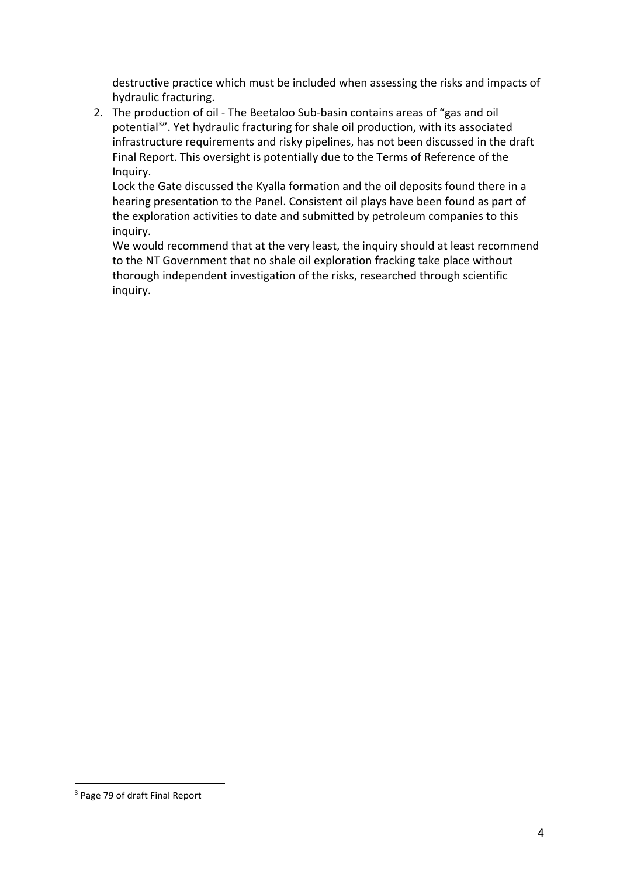destructive practice which must be included when assessing the risks and impacts of hydraulic fracturing.

2. The production of oil - The Beetaloo Sub-basin contains areas of "gas and oil potential<sup>3</sup>". Yet hydraulic fracturing for shale oil production, with its associated infrastructure requirements and risky pipelines, has not been discussed in the draft Final Report. This oversight is potentially due to the Terms of Reference of the Inquiry.

Lock the Gate discussed the Kyalla formation and the oil deposits found there in a hearing presentation to the Panel. Consistent oil plays have been found as part of the exploration activities to date and submitted by petroleum companies to this inquiry.

We would recommend that at the very least, the inquiry should at least recommend to the NT Government that no shale oil exploration fracking take place without thorough independent investigation of the risks, researched through scientific inquiry.

<sup>&</sup>lt;sup>3</sup> Page 79 of draft Final Report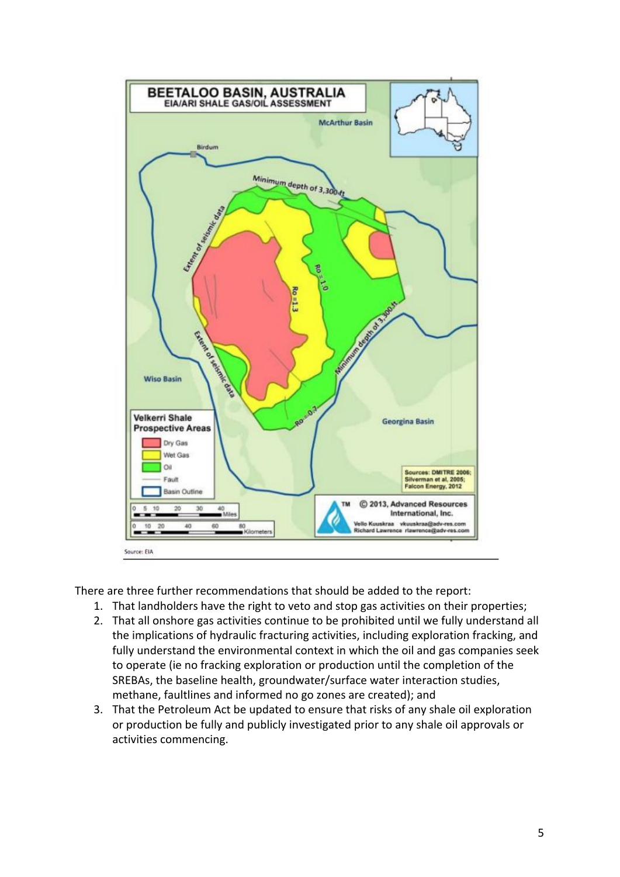

There are three further recommendations that should be added to the report:

- 1. That landholders have the right to veto and stop gas activities on their properties;
- 2. That all onshore gas activities continue to be prohibited until we fully understand all the implications of hydraulic fracturing activities, including exploration fracking, and fully understand the environmental context in which the oil and gas companies seek to operate (ie no fracking exploration or production until the completion of the SREBAs, the baseline health, groundwater/surface water interaction studies, methane, faultlines and informed no go zones are created); and
- 3. That the Petroleum Act be updated to ensure that risks of any shale oil exploration or production be fully and publicly investigated prior to any shale oil approvals or activities commencing.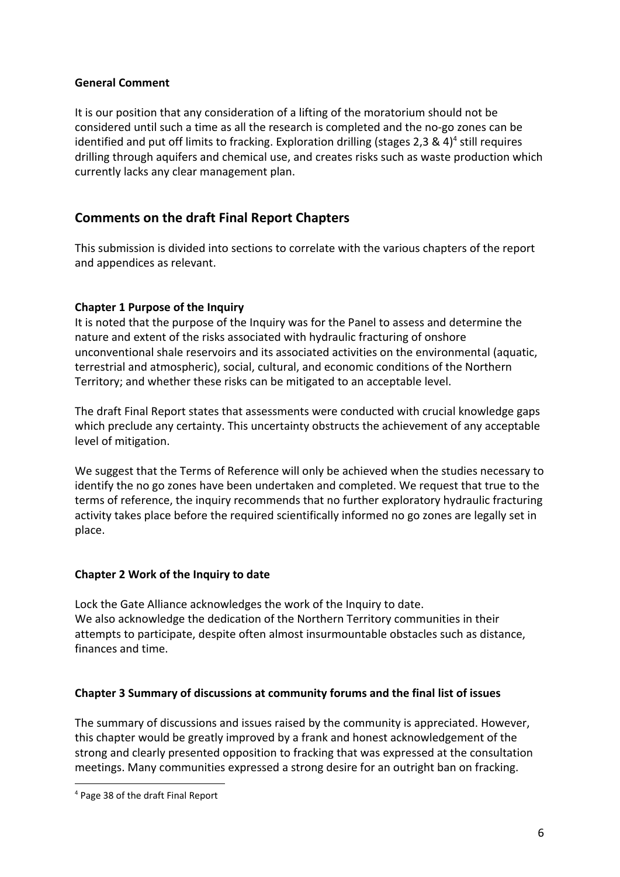#### **General Comment**

It is our position that any consideration of a lifting of the moratorium should not be considered until such a time as all the research is completed and the no-go zones can be identified and put off limits to fracking. Exploration drilling (stages 2,3 & 4)<sup>4</sup> still requires drilling through aquifers and chemical use, and creates risks such as waste production which currently lacks any clear management plan.

# **Comments on the draft Final Report Chapters**

This submission is divided into sections to correlate with the various chapters of the report and appendices as relevant.

## **Chapter 1 Purpose of the Inquiry**

It is noted that the purpose of the Inquiry was for the Panel to assess and determine the nature and extent of the risks associated with hydraulic fracturing of onshore unconventional shale reservoirs and its associated activities on the environmental (aquatic, terrestrial and atmospheric), social, cultural, and economic conditions of the Northern Territory; and whether these risks can be mitigated to an acceptable level.

The draft Final Report states that assessments were conducted with crucial knowledge gaps which preclude any certainty. This uncertainty obstructs the achievement of any acceptable level of mitigation.

We suggest that the Terms of Reference will only be achieved when the studies necessary to identify the no go zones have been undertaken and completed. We request that true to the terms of reference, the inquiry recommends that no further exploratory hydraulic fracturing activity takes place before the required scientifically informed no go zones are legally set in place.

#### **Chapter 2 Work of the Inquiry to date**

Lock the Gate Alliance acknowledges the work of the Inquiry to date. We also acknowledge the dedication of the Northern Territory communities in their attempts to participate, despite often almost insurmountable obstacles such as distance, finances and time.

#### **Chapter 3 Summary of discussions at community forums and the final list of issues**

The summary of discussions and issues raised by the community is appreciated. However, this chapter would be greatly improved by a frank and honest acknowledgement of the strong and clearly presented opposition to fracking that was expressed at the consultation meetings. Many communities expressed a strong desire for an outright ban on fracking.

<sup>4</sup> Page 38 of the draft Final Report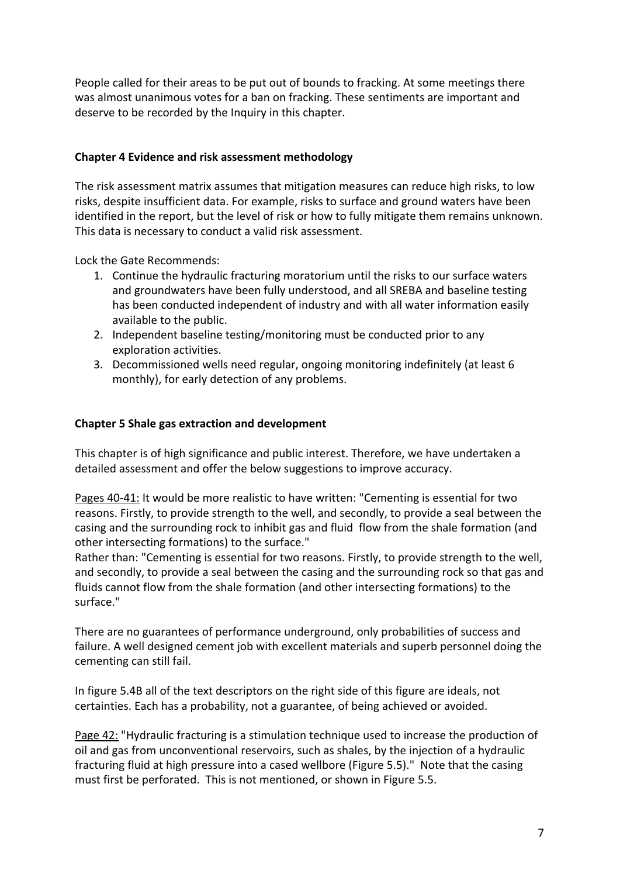People called for their areas to be put out of bounds to fracking. At some meetings there was almost unanimous votes for a ban on fracking. These sentiments are important and deserve to be recorded by the Inquiry in this chapter.

#### **Chapter 4 Evidence and risk assessment methodology**

The risk assessment matrix assumes that mitigation measures can reduce high risks, to low risks, despite insufficient data. For example, risks to surface and ground waters have been identified in the report, but the level of risk or how to fully mitigate them remains unknown. This data is necessary to conduct a valid risk assessment.

Lock the Gate Recommends:

- 1. Continue the hydraulic fracturing moratorium until the risks to our surface waters and groundwaters have been fully understood, and all SREBA and baseline testing has been conducted independent of industry and with all water information easily available to the public.
- 2. Independent baseline testing/monitoring must be conducted prior to any exploration activities.
- 3. Decommissioned wells need regular, ongoing monitoring indefinitely (at least 6 monthly), for early detection of any problems.

#### **Chapter 5 Shale gas extraction and development**

This chapter is of high significance and public interest. Therefore, we have undertaken a detailed assessment and offer the below suggestions to improve accuracy.

Pages 40-41: It would be more realistic to have written: "Cementing is essential for two reasons. Firstly, to provide strength to the well, and secondly, to provide a seal between the casing and the surrounding rock to inhibit gas and fluid flow from the shale formation (and other intersecting formations) to the surface."

Rather than: "Cementing is essential for two reasons. Firstly, to provide strength to the well, and secondly, to provide a seal between the casing and the surrounding rock so that gas and fluids cannot flow from the shale formation (and other intersecting formations) to the surface."

There are no guarantees of performance underground, only probabilities of success and failure. A well designed cement job with excellent materials and superb personnel doing the cementing can still fail.

In figure 5.4B all of the text descriptors on the right side of this figure are ideals, not certainties. Each has a probability, not a guarantee, of being achieved or avoided.

Page 42: "Hydraulic fracturing is a stimulation technique used to increase the production of oil and gas from unconventional reservoirs, such as shales, by the injection of a hydraulic fracturing fluid at high pressure into a cased wellbore (Figure 5.5)." Note that the casing must first be perforated. This is not mentioned, or shown in Figure 5.5.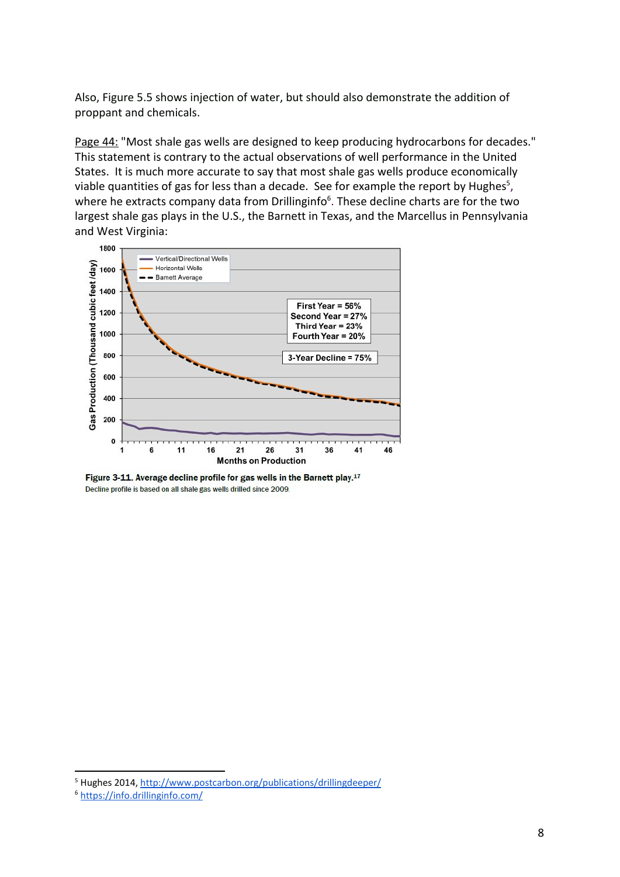Also, Figure 5.5 shows injection of water, but should also demonstrate the addition of proppant and chemicals.

Page 44: "Most shale gas wells are designed to keep producing hydrocarbons for decades." This statement is contrary to the actual observations of well performance in the United States. It is much more accurate to say that most shale gas wells produce economically viable quantities of gas for less than a decade. See for example the report by Hughes<sup>5</sup>, where he extracts company data from Drillinginfo<sup>6</sup>. These decline charts are for the two largest shale gas plays in the U.S., the Barnett in Texas, and the Marcellus in Pennsylvania and West Virginia:



Figure 3-11. Average decline profile for gas wells in the Barnett play.<sup>17</sup> Decline profile is based on all shale gas wells drilled since 2009.

<sup>5</sup> Hughes 2014, http://www.postcarbon.org/publications/drillingdeeper/

<sup>6</sup> https://info.drillinginfo.com/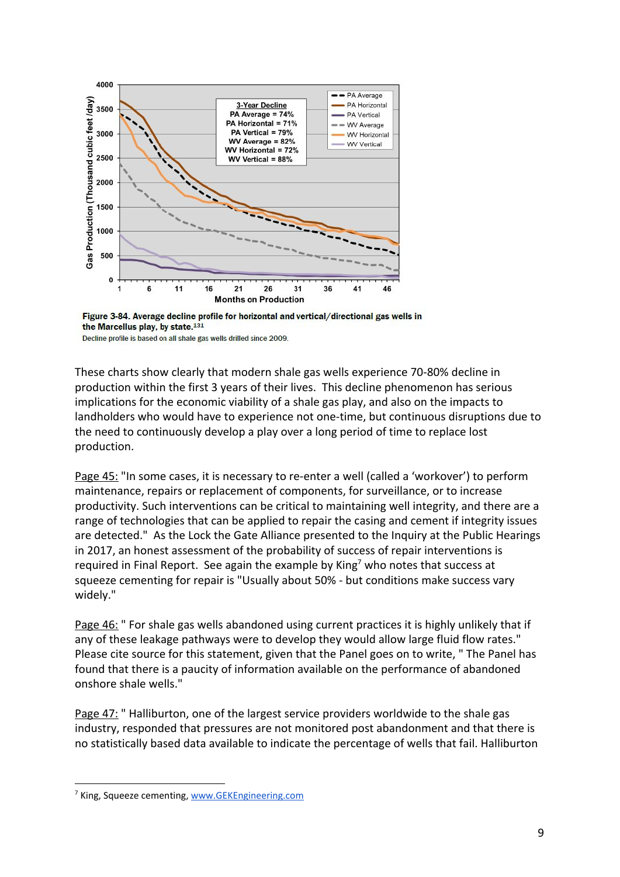

Figure 3-84. Average decline profile for horizontal and vertical/directional gas wells in the Marcellus play, by state.<sup>131</sup>

Decline profile is based on all shale gas wells drilled since 2009.

These charts show clearly that modern shale gas wells experience 70-80% decline in production within the first 3 years of their lives. This decline phenomenon has serious implications for the economic viability of a shale gas play, and also on the impacts to landholders who would have to experience not one-time, but continuous disruptions due to the need to continuously develop a play over a long period of time to replace lost production.

Page 45: "In some cases, it is necessary to re-enter a well (called a 'workover') to perform maintenance, repairs or replacement of components, for surveillance, or to increase productivity. Such interventions can be critical to maintaining well integrity, and there are a range of technologies that can be applied to repair the casing and cement if integrity issues are detected." As the Lock the Gate Alliance presented to the Inquiry at the Public Hearings in 2017, an honest assessment of the probability of success of repair interventions is required in Final Report. See again the example by King<sup>7</sup> who notes that success at squeeze cementing for repair is "Usually about 50% - but conditions make success vary widely."

Page 46: " For shale gas wells abandoned using current practices it is highly unlikely that if any of these leakage pathways were to develop they would allow large fluid flow rates." Please cite source for this statement, given that the Panel goes on to write, " The Panel has found that there is a paucity of information available on the performance of abandoned onshore shale wells."

Page 47: "Halliburton, one of the largest service providers worldwide to the shale gas industry, responded that pressures are not monitored post abandonment and that there is no statistically based data available to indicate the percentage of wells that fail. Halliburton

<sup>&</sup>lt;sup>7</sup> King, Squeeze cementing, www.GEKEngineering.com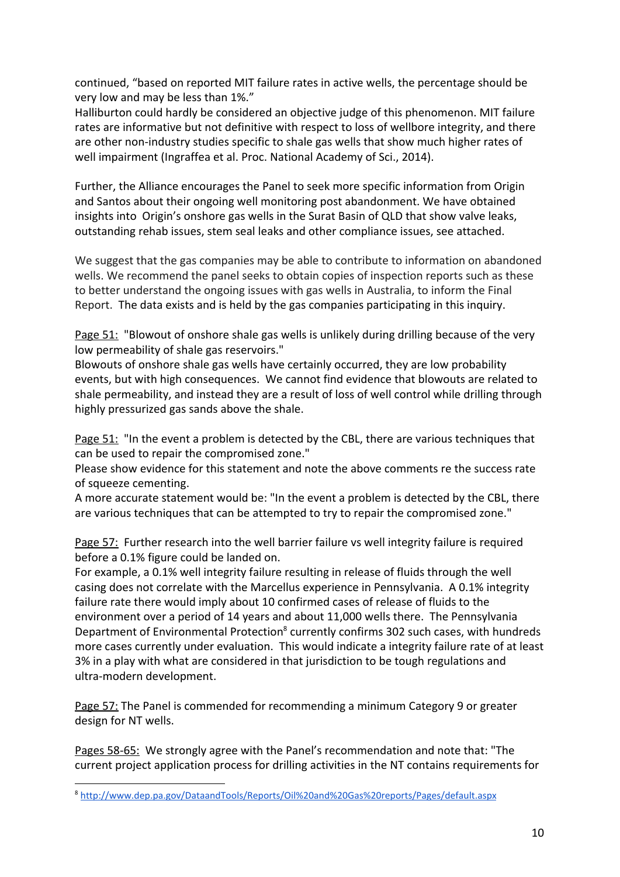continued, "based on reported MIT failure rates in active wells, the percentage should be very low and may be less than 1%."

Halliburton could hardly be considered an objective judge of this phenomenon. MIT failure rates are informative but not definitive with respect to loss of wellbore integrity, and there are other non-industry studies specific to shale gas wells that show much higher rates of well impairment (Ingraffea et al. Proc. National Academy of Sci., 2014).

Further, the Alliance encourages the Panel to seek more specific information from Origin and Santos about their ongoing well monitoring post abandonment. We have obtained insights into Origin's onshore gas wells in the Surat Basin of QLD that show valve leaks, outstanding rehab issues, stem seal leaks and other compliance issues, see attached.

We suggest that the gas companies may be able to contribute to information on abandoned wells. We recommend the panel seeks to obtain copies of inspection reports such as these to better understand the ongoing issues with gas wells in Australia, to inform the Final Report. The data exists and is held by the gas companies participating in this inquiry.

Page 51: "Blowout of onshore shale gas wells is unlikely during drilling because of the very low permeability of shale gas reservoirs."

Blowouts of onshore shale gas wells have certainly occurred, they are low probability events, but with high consequences. We cannot find evidence that blowouts are related to shale permeability, and instead they are a result of loss of well control while drilling through highly pressurized gas sands above the shale.

Page 51: "In the event a problem is detected by the CBL, there are various techniques that can be used to repair the compromised zone."

Please show evidence for this statement and note the above comments re the success rate of squeeze cementing.

A more accurate statement would be: "In the event a problem is detected by the CBL, there are various techniques that can be attempted to try to repair the compromised zone."

Page 57: Further research into the well barrier failure vs well integrity failure is required before a 0.1% figure could be landed on.

For example, a 0.1% well integrity failure resulting in release of fluids through the well casing does not correlate with the Marcellus experience in Pennsylvania. A 0.1% integrity failure rate there would imply about 10 confirmed cases of release of fluids to the environment over a period of 14 years and about 11,000 wells there. The Pennsylvania Department of Environmental Protection<sup>8</sup> currently confirms 302 such cases, with hundreds more cases currently under evaluation. This would indicate a integrity failure rate of at least 3% in a play with what are considered in that jurisdiction to be tough regulations and ultra-modern development.

Page 57: The Panel is commended for recommending a minimum Category 9 or greater design for NT wells.

Pages 58-65: We strongly agree with the Panel's recommendation and note that: "The current project application process for drilling activities in the NT contains requirements for

<sup>8</sup> http://www.dep.pa.gov/DataandTools/Reports/Oil%20and%20Gas%20reports/Pages/default.aspx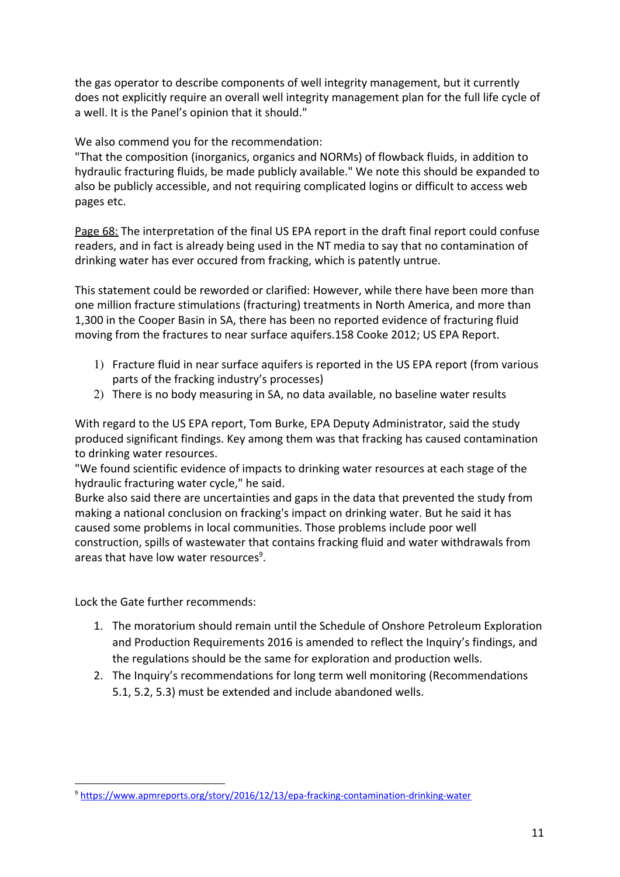the gas operator to describe components of well integrity management, but it currently does not explicitly require an overall well integrity management plan for the full life cycle of a well. It is the Panel's opinion that it should."

## We also commend you for the recommendation:

"That the composition (inorganics, organics and NORMs) of flowback fluids, in addition to hydraulic fracturing fluids, be made publicly available." We note this should be expanded to also be publicly accessible, and not requiring complicated logins or difficult to access web pages etc.

Page 68: The interpretation of the final US EPA report in the draft final report could confuse readers, and in fact is already being used in the NT media to say that no contamination of drinking water has ever occured from fracking, which is patently untrue.

This statement could be reworded or clarified: However, while there have been more than one million fracture stimulations (fracturing) treatments in North America, and more than 1,300 in the Cooper Basin in SA, there has been no reported evidence of fracturing fluid moving from the fractures to near surface aquifers.158 Cooke 2012; US EPA Report.

- 1) Fracture fluid in near surface aquifers is reported in the US EPA report (from various parts of the fracking industry's processes)
- 2) There is no body measuring in SA, no data available, no baseline water results

With regard to the US EPA report, Tom Burke, EPA Deputy Administrator, said the study produced significant findings. Key among them was that fracking has caused contamination to drinking water resources.

"We found scientific evidence of impacts to drinking water resources at each stage of the hydraulic fracturing water cycle," he said.

Burke also said there are uncertainties and gaps in the data that prevented the study from making a national conclusion on fracking's impact on drinking water. But he said it has caused some problems in local communities. Those problems include poor well construction, spills of wastewater that contains fracking fluid and water withdrawals from areas that have low water resources<sup>9</sup>.

Lock the Gate further recommends:

- 1. The moratorium should remain until the Schedule of Onshore Petroleum Exploration and Production Requirements 2016 is amended to reflect the Inquiry's findings, and the regulations should be the same for exploration and production wells.
- 2. The Inquiry's recommendations for long term well monitoring (Recommendations 5.1, 5.2, 5.3) must be extended and include abandoned wells.

<sup>9</sup> https://www.apmreports.org/story/2016/12/13/epa-fracking-contamination-drinking-water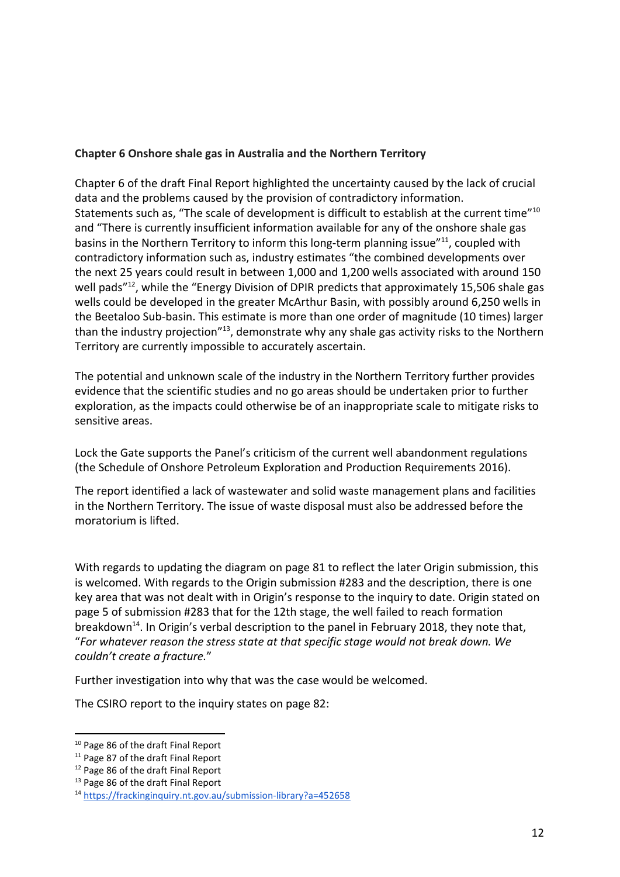#### **Chapter 6 Onshore shale gas in Australia and the Northern Territory**

Chapter 6 of the draft Final Report highlighted the uncertainty caused by the lack of crucial data and the problems caused by the provision of contradictory information. Statements such as, "The scale of development is difficult to establish at the current time"<sup>10</sup> and "There is currently insufficient information available for any of the onshore shale gas basins in the Northern Territory to inform this long-term planning issue"<sup>11</sup>, coupled with contradictory information such as, industry estimates "the combined developments over the next 25 years could result in between 1,000 and 1,200 wells associated with around 150 well pads"<sup>12</sup>, while the "Energy Division of DPIR predicts that approximately 15,506 shale gas wells could be developed in the greater McArthur Basin, with possibly around 6,250 wells in the Beetaloo Sub-basin. This estimate is more than one order of magnitude (10 times) larger than the industry projection"<sup>13</sup>, demonstrate why any shale gas activity risks to the Northern Territory are currently impossible to accurately ascertain.

The potential and unknown scale of the industry in the Northern Territory further provides evidence that the scientific studies and no go areas should be undertaken prior to further exploration, as the impacts could otherwise be of an inappropriate scale to mitigate risks to sensitive areas.

Lock the Gate supports the Panel's criticism of the current well abandonment regulations (the Schedule of Onshore Petroleum Exploration and Production Requirements 2016).

The report identified a lack of wastewater and solid waste management plans and facilities in the Northern Territory. The issue of waste disposal must also be addressed before the moratorium is lifted.

With regards to updating the diagram on page 81 to reflect the later Origin submission, this is welcomed. With regards to the Origin submission #283 and the description, there is one key area that was not dealt with in Origin's response to the inquiry to date. Origin stated on page 5 of submission #283 that for the 12th stage, the well failed to reach formation breakdown<sup>14</sup>. In Origin's verbal description to the panel in February 2018, they note that, "*For whatever reason the stress state at that specific stage would not break down. We couldn't create a fracture.*"

Further investigation into why that was the case would be welcomed.

The CSIRO report to the inquiry states on page 82:

<sup>&</sup>lt;sup>10</sup> Page 86 of the draft Final Report

<sup>&</sup>lt;sup>11</sup> Page 87 of the draft Final Report

<sup>&</sup>lt;sup>12</sup> Page 86 of the draft Final Report

<sup>&</sup>lt;sup>13</sup> Page 86 of the draft Final Report

<sup>14</sup> https://frackinginquiry.nt.gov.au/submission-library?a=452658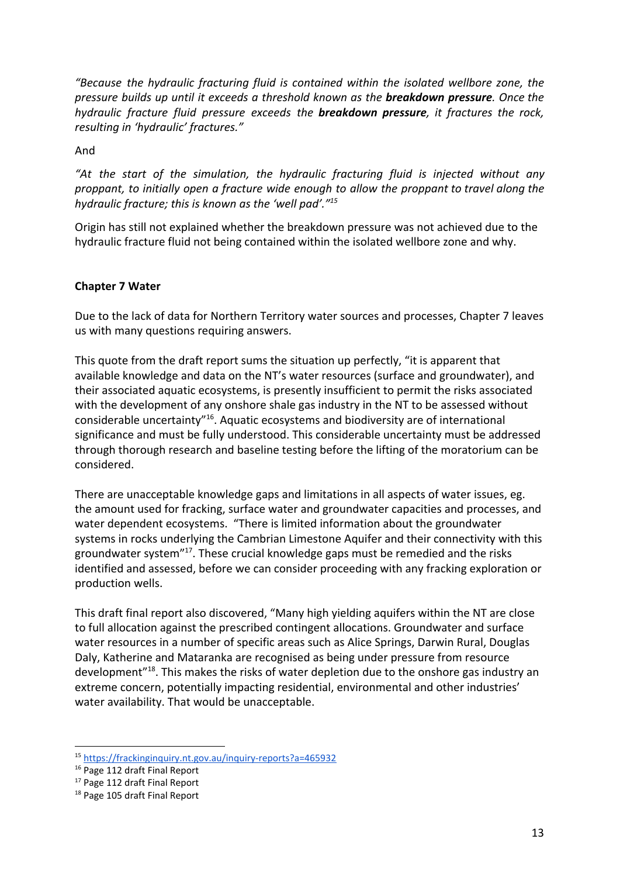*"Because the hydraulic fracturing fluid is contained within the isolated wellbore zone, the pressure builds up until it exceeds a threshold known as the breakdown pressure. Once the hydraulic fracture fluid pressure exceeds the breakdown pressure, it fractures the rock, resulting in 'hydraulic' fractures."*

And

*"At the start of the simulation, the hydraulic fracturing fluid is injected without any proppant, to initially open a fracture wide enough to allow the proppant to travel along the hydraulic fracture; this is known as the 'well pad'."<sup>15</sup>*

Origin has still not explained whether the breakdown pressure was not achieved due to the hydraulic fracture fluid not being contained within the isolated wellbore zone and why.

#### **Chapter 7 Water**

Due to the lack of data for Northern Territory water sources and processes, Chapter 7 leaves us with many questions requiring answers.

This quote from the draft report sums the situation up perfectly, "it is apparent that available knowledge and data on the NT's water resources (surface and groundwater), and their associated aquatic ecosystems, is presently insufficient to permit the risks associated with the development of any onshore shale gas industry in the NT to be assessed without considerable uncertainty" $16$ . Aquatic ecosystems and biodiversity are of international significance and must be fully understood. This considerable uncertainty must be addressed through thorough research and baseline testing before the lifting of the moratorium can be considered.

There are unacceptable knowledge gaps and limitations in all aspects of water issues, eg. the amount used for fracking, surface water and groundwater capacities and processes, and water dependent ecosystems. "There is limited information about the groundwater systems in rocks underlying the Cambrian Limestone Aquifer and their connectivity with this groundwater system"<sup>17</sup>. These crucial knowledge gaps must be remedied and the risks identified and assessed, before we can consider proceeding with any fracking exploration or production wells.

This draft final report also discovered, "Many high yielding aquifers within the NT are close to full allocation against the prescribed contingent allocations. Groundwater and surface water resources in a number of specific areas such as Alice Springs, Darwin Rural, Douglas Daly, Katherine and Mataranka are recognised as being under pressure from resource development<sup>"18</sup>. This makes the risks of water depletion due to the onshore gas industry an extreme concern, potentially impacting residential, environmental and other industries' water availability. That would be unacceptable.

<sup>15</sup> https://frackinginquiry.nt.gov.au/inquiry-reports?a=465932

<sup>&</sup>lt;sup>16</sup> Page 112 draft Final Report

<sup>&</sup>lt;sup>17</sup> Page 112 draft Final Report

<sup>&</sup>lt;sup>18</sup> Page 105 draft Final Report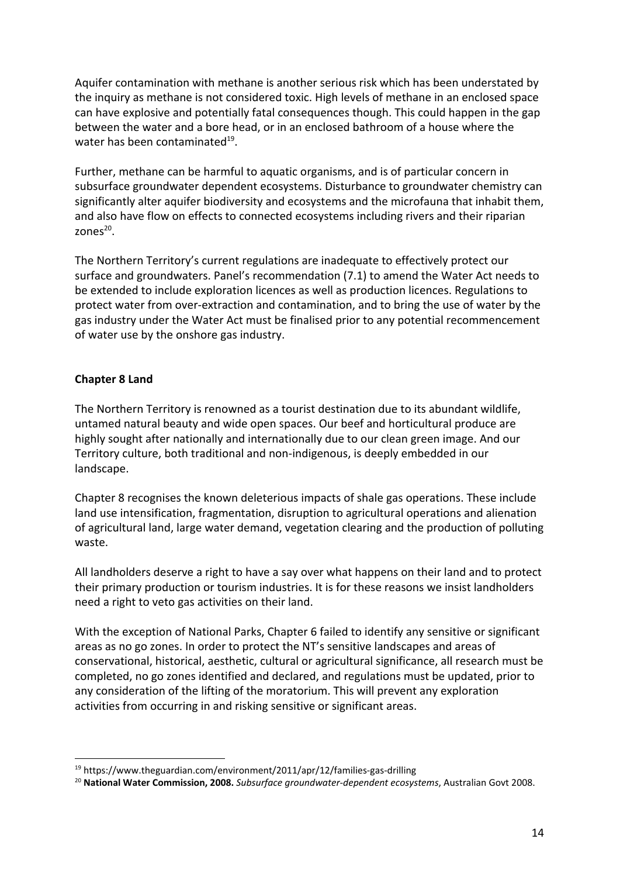Aquifer contamination with methane is another serious risk which has been understated by the inquiry as methane is not considered toxic. High levels of methane in an enclosed space can have explosive and potentially fatal consequences though. This could happen in the gap between the water and a bore head, or in an enclosed bathroom of a house where the water has been contaminated $^{19}$ .

Further, methane can be harmful to aquatic organisms, and is of particular concern in subsurface groundwater dependent ecosystems. Disturbance to groundwater chemistry can significantly alter aquifer biodiversity and ecosystems and the microfauna that inhabit them, and also have flow on effects to connected ecosystems including rivers and their riparian zones<sup>20</sup>.

The Northern Territory's current regulations are inadequate to effectively protect our surface and groundwaters. Panel's recommendation (7.1) to amend the Water Act needs to be extended to include exploration licences as well as production licences. Regulations to protect water from over-extraction and contamination, and to bring the use of water by the gas industry under the Water Act must be finalised prior to any potential recommencement of water use by the onshore gas industry.

#### **Chapter 8 Land**

The Northern Territory is renowned as a tourist destination due to its abundant wildlife, untamed natural beauty and wide open spaces. Our beef and horticultural produce are highly sought after nationally and internationally due to our clean green image. And our Territory culture, both traditional and non-indigenous, is deeply embedded in our landscape.

Chapter 8 recognises the known deleterious impacts of shale gas operations. These include land use intensification, fragmentation, disruption to agricultural operations and alienation of agricultural land, large water demand, vegetation clearing and the production of polluting waste.

All landholders deserve a right to have a say over what happens on their land and to protect their primary production or tourism industries. It is for these reasons we insist landholders need a right to veto gas activities on their land.

With the exception of National Parks, Chapter 6 failed to identify any sensitive or significant areas as no go zones. In order to protect the NT's sensitive landscapes and areas of conservational, historical, aesthetic, cultural or agricultural significance, all research must be completed, no go zones identified and declared, and regulations must be updated, prior to any consideration of the lifting of the moratorium. This will prevent any exploration activities from occurring in and risking sensitive or significant areas.

<sup>19</sup> https://www.theguardian.com/environment/2011/apr/12/families-gas-drilling

<sup>20</sup> **National Water Commission, 2008.** *Subsurface groundwater-dependent ecosystems*, Australian Govt 2008.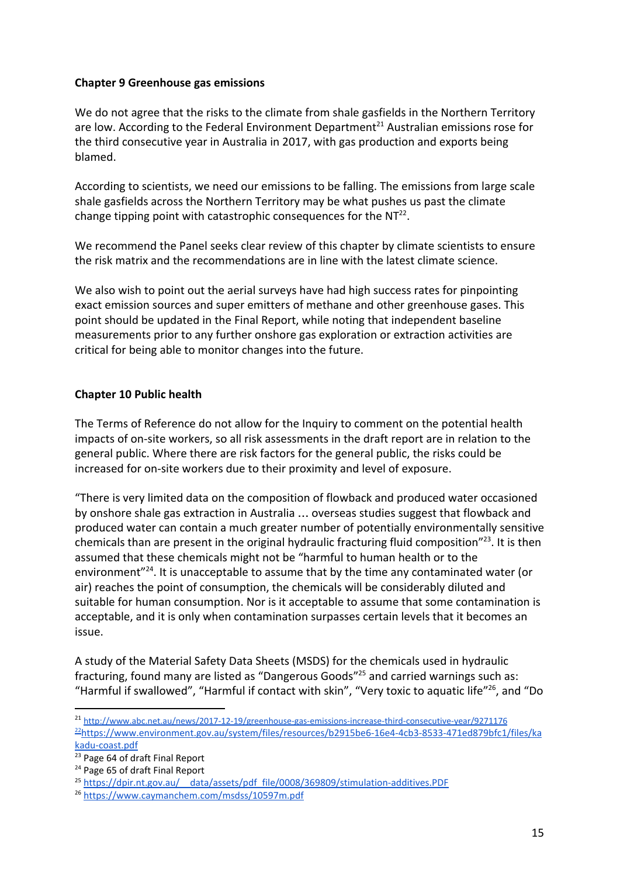#### **Chapter 9 Greenhouse gas emissions**

We do not agree that the risks to the climate from shale gasfields in the Northern Territory are low. According to the Federal Environment Department<sup>21</sup> Australian emissions rose for the third consecutive year in Australia in 2017, with gas production and exports being blamed.

According to scientists, we need our emissions to be falling. The emissions from large scale shale gasfields across the Northern Territory may be what pushes us past the climate change tipping point with catastrophic consequences for the  $NT^{22}$ .

We recommend the Panel seeks clear review of this chapter by climate scientists to ensure the risk matrix and the recommendations are in line with the latest climate science.

We also wish to point out the aerial surveys have had high success rates for pinpointing exact emission sources and super emitters of methane and other greenhouse gases. This point should be updated in the Final Report, while noting that independent baseline measurements prior to any further onshore gas exploration or extraction activities are critical for being able to monitor changes into the future.

#### **Chapter 10 Public health**

The Terms of Reference do not allow for the Inquiry to comment on the potential health impacts of on-site workers, so all risk assessments in the draft report are in relation to the general public. Where there are risk factors for the general public, the risks could be increased for on-site workers due to their proximity and level of exposure.

"There is very limited data on the composition of flowback and produced water occasioned by onshore shale gas extraction in Australia … overseas studies suggest that flowback and produced water can contain a much greater number of potentially environmentally sensitive chemicals than are present in the original hydraulic fracturing fluid composition" $^{23}$ . It is then assumed that these chemicals might not be "harmful to human health or to the environment $^{224}$ . It is unacceptable to assume that by the time any contaminated water (or air) reaches the point of consumption, the chemicals will be considerably diluted and suitable for human consumption. Nor is it acceptable to assume that some contamination is acceptable, and it is only when contamination surpasses certain levels that it becomes an issue.

A study of the Material Safety Data Sheets (MSDS) for the chemicals used in hydraulic fracturing, found many are listed as "Dangerous Goods"<sup>25</sup> and carried warnings such as: "Harmful if swallowed", "Harmful if contact with skin", "Very toxic to aquatic life"<sup>26</sup>, and "Do

<sup>21</sup> http://www.abc.net.au/news/2017-12-19/greenhouse-gas-emissions-increase-third-consecutive-year/9271176 <sup>22</sup>https://www.environment.gov.au/system/files/resources/b2915be6-16e4-4cb3-8533-471ed879bfc1/files/ka kadu-coast.pdf

<sup>&</sup>lt;sup>23</sup> Page 64 of draft Final Report

<sup>&</sup>lt;sup>24</sup> Page 65 of draft Final Report

<sup>25</sup> https://dpir.nt.gov.au/ data/assets/pdf file/0008/369809/stimulation-additives.PDF

<sup>26</sup> https://www.caymanchem.com/msdss/10597m.pdf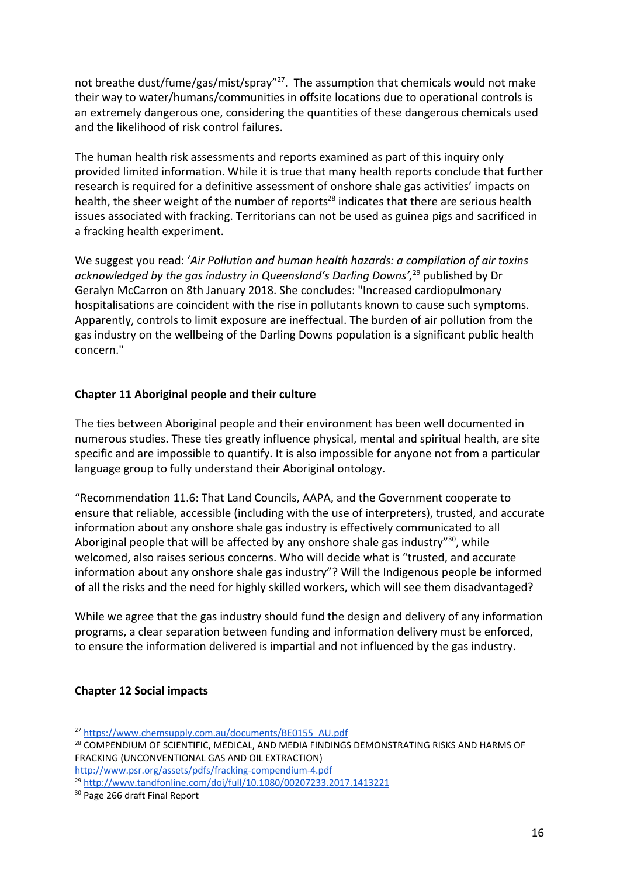not breathe dust/fume/gas/mist/spray"<sup>27</sup>. The assumption that chemicals would not make their way to water/humans/communities in offsite locations due to operational controls is an extremely dangerous one, considering the quantities of these dangerous chemicals used and the likelihood of risk control failures.

The human health risk assessments and reports examined as part of this inquiry only provided limited information. While it is true that many health reports conclude that further research is required for a definitive assessment of onshore shale gas activities' impacts on health, the sheer weight of the number of reports<sup>28</sup> indicates that there are serious health issues associated with fracking. Territorians can not be used as guinea pigs and sacrificed in a fracking health experiment.

We suggest you read: '*Air Pollution and human health hazards: a compilation of air toxins* acknowledged by the gas industry in Queensland's Darling Downs',<sup>29</sup> published by Dr Geralyn McCarron on 8th January 2018. She concludes: "Increased cardiopulmonary hospitalisations are coincident with the rise in pollutants known to cause such symptoms. Apparently, controls to limit exposure are ineffectual. The burden of air pollution from the gas industry on the wellbeing of the Darling Downs population is a significant public health concern."

#### **Chapter 11 Aboriginal people and their culture**

The ties between Aboriginal people and their environment has been well documented in numerous studies. These ties greatly influence physical, mental and spiritual health, are site specific and are impossible to quantify. It is also impossible for anyone not from a particular language group to fully understand their Aboriginal ontology.

"Recommendation 11.6: That Land Councils, AAPA, and the Government cooperate to ensure that reliable, accessible (including with the use of interpreters), trusted, and accurate information about any onshore shale gas industry is effectively communicated to all Aboriginal people that will be affected by any onshore shale gas industry" $30$ , while welcomed, also raises serious concerns. Who will decide what is "trusted, and accurate information about any onshore shale gas industry"? Will the Indigenous people be informed of all the risks and the need for highly skilled workers, which will see them disadvantaged?

While we agree that the gas industry should fund the design and delivery of any information programs, a clear separation between funding and information delivery must be enforced, to ensure the information delivered is impartial and not influenced by the gas industry.

#### **Chapter 12 Social impacts**

<sup>27</sup> https://www.chemsupply.com.au/documents/BE0155 AU.pdf

<sup>&</sup>lt;sup>28</sup> COMPENDIUM OF SCIENTIFIC, MEDICAL, AND MEDIA FINDINGS DEMONSTRATING RISKS AND HARMS OF FRACKING (UNCONVENTIONAL GAS AND OIL EXTRACTION)

http://www.psr.org/assets/pdfs/fracking-compendium-4.pdf

<sup>29</sup> http://www.tandfonline.com/doi/full/10.1080/00207233.2017.1413221

<sup>&</sup>lt;sup>30</sup> Page 266 draft Final Report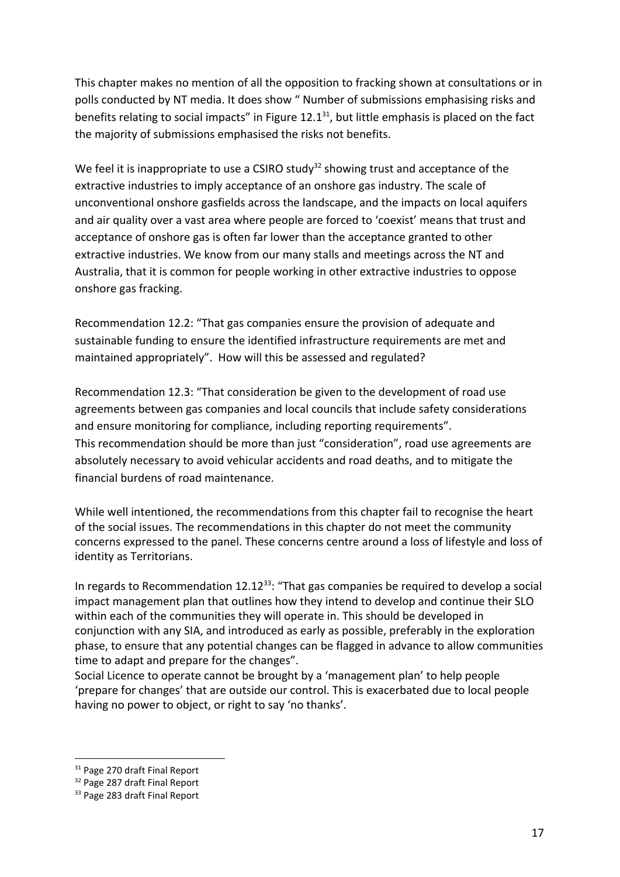This chapter makes no mention of all the opposition to fracking shown at consultations or in polls conducted by NT media. It does show " Number of submissions emphasising risks and benefits relating to social impacts" in Figure  $12.1<sup>31</sup>$ , but little emphasis is placed on the fact the majority of submissions emphasised the risks not benefits.

We feel it is inappropriate to use a CSIRO study<sup>32</sup> showing trust and acceptance of the extractive industries to imply acceptance of an onshore gas industry. The scale of unconventional onshore gasfields across the landscape, and the impacts on local aquifers and air quality over a vast area where people are forced to 'coexist' means that trust and acceptance of onshore gas is often far lower than the acceptance granted to other extractive industries. We know from our many stalls and meetings across the NT and Australia, that it is common for people working in other extractive industries to oppose onshore gas fracking.

Recommendation 12.2: "That gas companies ensure the provision of adequate and sustainable funding to ensure the identified infrastructure requirements are met and maintained appropriately". How will this be assessed and regulated?

Recommendation 12.3: "That consideration be given to the development of road use agreements between gas companies and local councils that include safety considerations and ensure monitoring for compliance, including reporting requirements". This recommendation should be more than just "consideration", road use agreements are absolutely necessary to avoid vehicular accidents and road deaths, and to mitigate the financial burdens of road maintenance.

While well intentioned, the recommendations from this chapter fail to recognise the heart of the social issues. The recommendations in this chapter do not meet the community concerns expressed to the panel. These concerns centre around a loss of lifestyle and loss of identity as Territorians.

In regards to Recommendation  $12.12^{33}$ : "That gas companies be required to develop a social impact management plan that outlines how they intend to develop and continue their SLO within each of the communities they will operate in. This should be developed in conjunction with any SIA, and introduced as early as possible, preferably in the exploration phase, to ensure that any potential changes can be flagged in advance to allow communities time to adapt and prepare for the changes".

Social Licence to operate cannot be brought by a 'management plan' to help people 'prepare for changes' that are outside our control. This is exacerbated due to local people having no power to object, or right to say 'no thanks'.

<sup>&</sup>lt;sup>31</sup> Page 270 draft Final Report

<sup>&</sup>lt;sup>32</sup> Page 287 draft Final Report

<sup>&</sup>lt;sup>33</sup> Page 283 draft Final Report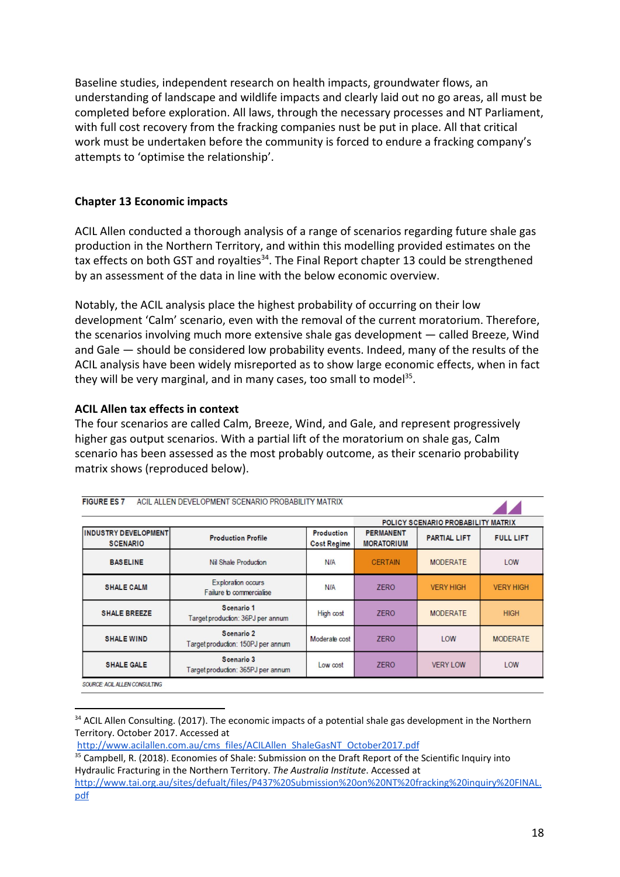Baseline studies, independent research on health impacts, groundwater flows, an understanding of landscape and wildlife impacts and clearly laid out no go areas, all must be completed before exploration. All laws, through the necessary processes and NT Parliament, with full cost recovery from the fracking companies nust be put in place. All that critical work must be undertaken before the community is forced to endure a fracking company's attempts to 'optimise the relationship'.

#### **Chapter 13 Economic impacts**

ACIL Allen conducted a thorough analysis of a range of scenarios regarding future shale gas production in the Northern Territory, and within this modelling provided estimates on the tax effects on both GST and royalties<sup>34</sup>. The Final Report chapter 13 could be strengthened by an assessment of the data in line with the below economic overview.

Notably, the ACIL analysis place the highest probability of occurring on their low development 'Calm' scenario, even with the removal of the current moratorium. Therefore, the scenarios involving much more extensive shale gas development — called Breeze, Wind and Gale — should be considered low probability events. Indeed, many of the results of the ACIL analysis have been widely misreported as to show large economic effects, when in fact they will be very marginal, and in many cases, too small to model<sup>35</sup>.

#### **ACIL Allen tax effects in context**

FIAURE EAST AND ALLEN DEVELOPMENT COENADIO PRODABILITY MATRIX.

The four scenarios are called Calm, Breeze, Wind, and Gale, and represent progressively higher gas output scenarios. With a partial lift of the moratorium on shale gas, Calm scenario has been assessed as the most probably outcome, as their scenario probability matrix shows (reproduced below).

| <b>FIGURE ES</b> /                              | AGIL ALLEN DEVELOPMENT SGENARIO PROBABILITY MATRIX |                                  |                                       |                                    |                  |
|-------------------------------------------------|----------------------------------------------------|----------------------------------|---------------------------------------|------------------------------------|------------------|
|                                                 |                                                    |                                  |                                       | POLICY SCENARIO PROBABILITY MATRIX |                  |
| <b>IINDUSTRY DEVELOPMENT</b><br><b>SCENARIO</b> | <b>Production Profile</b>                          | Production<br><b>Cost Regime</b> | <b>PERMANENT</b><br><b>MORATORIUM</b> | <b>PARTIAL LIFT</b>                | <b>FULL LIFT</b> |
| <b>BASELINE</b>                                 | Nil Shale Production                               | <b>N/A</b>                       | <b>CERTAIN</b>                        | <b>MODERATE</b>                    | LOW              |
| <b>SHALE CALM</b>                               | Exploration occurs<br>Failure to commercialise     | <b>N/A</b>                       | <b>ZERO</b>                           | <b>VERY HIGH</b>                   | <b>VERY HIGH</b> |
| <b>SHALE BREEZE</b>                             | Scenario 1<br>Target production: 36PJ per annum    | High cost                        | <b>ZERO</b>                           | <b>MODERATE</b>                    | <b>HIGH</b>      |
| <b>SHALE WIND</b>                               | Scenario 2<br>Target production: 150PJ per annum   | Moderate cost                    | <b>ZERO</b>                           | LOW                                | <b>MODERATE</b>  |
| <b>SHALE GALE</b>                               | Scenario 3<br>Target production: 365PJ per annum   | Low cost                         | <b>ZERO</b>                           | <b>VERY LOW</b>                    | LOW              |

SOURCE: ACIL ALLEN CONSULTING

<sup>&</sup>lt;sup>34</sup> ACIL Allen Consulting. (2017). The economic impacts of a potential shale gas development in the Northern Territory. October 2017. Accessed at

http://www.acilallen.com.au/cms files/ACILAllen ShaleGasNT October2017.pdf

<sup>&</sup>lt;sup>35</sup> Campbell, R. (2018). Economies of Shale: Submission on the Draft Report of the Scientific Inquiry into Hydraulic Fracturing in the Northern Territory. *The Australia Institute*. Accessed at

http://www.tai.org.au/sites/defualt/files/P437%20Submission%20on%20NT%20fracking%20inquiry%20FINAL. pdf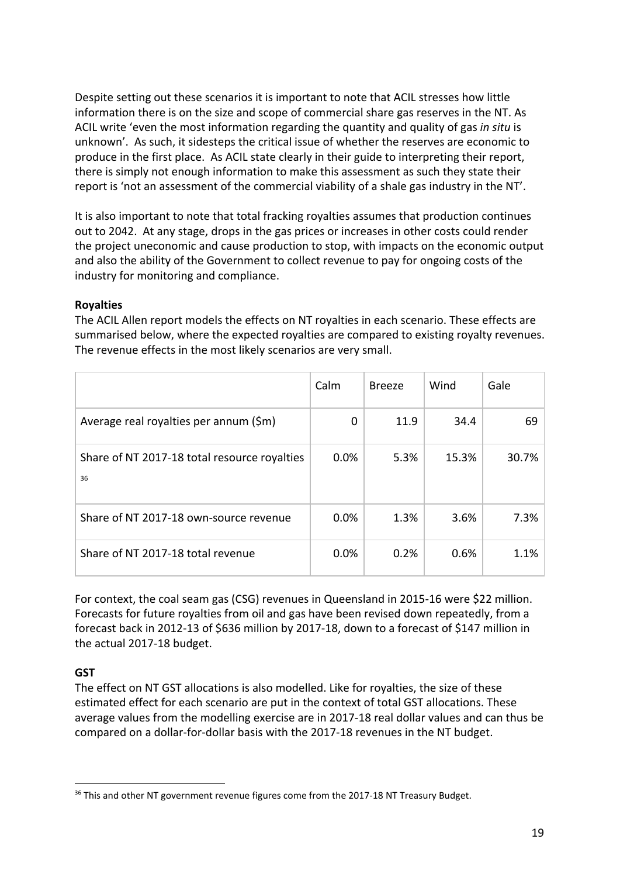Despite setting out these scenarios it is important to note that ACIL stresses how little information there is on the size and scope of commercial share gas reserves in the NT. As ACIL write 'even the most information regarding the quantity and quality of gas *in situ* is unknown'. As such, it sidesteps the critical issue of whether the reserves are economic to produce in the first place. As ACIL state clearly in their guide to interpreting their report, there is simply not enough information to make this assessment as such they state their report is 'not an assessment of the commercial viability of a shale gas industry in the NT'.

It is also important to note that total fracking royalties assumes that production continues out to 2042. At any stage, drops in the gas prices or increases in other costs could render the project uneconomic and cause production to stop, with impacts on the economic output and also the ability of the Government to collect revenue to pay for ongoing costs of the industry for monitoring and compliance.

#### **Royalties**

The ACIL Allen report models the effects on NT royalties in each scenario. These effects are summarised below, where the expected royalties are compared to existing royalty revenues. The revenue effects in the most likely scenarios are very small.

|                                                    | Calm | <b>Breeze</b> | Wind  | Gale  |
|----------------------------------------------------|------|---------------|-------|-------|
| Average real royalties per annum (\$m)             | 0    | 11.9          | 34.4  | 69    |
| Share of NT 2017-18 total resource royalties<br>36 | 0.0% | 5.3%          | 15.3% | 30.7% |
| Share of NT 2017-18 own-source revenue             | 0.0% | 1.3%          | 3.6%  | 7.3%  |
| Share of NT 2017-18 total revenue                  | 0.0% | 0.2%          | 0.6%  | 1.1%  |

For context, the coal seam gas (CSG) revenues in Queensland in 2015-16 were \$22 million. Forecasts for future royalties from oil and gas have been revised down repeatedly, from a forecast back in 2012-13 of \$636 million by 2017-18, down to a forecast of \$147 million in the actual 2017-18 budget.

# **GST**

The effect on NT GST allocations is also modelled. Like for royalties, the size of these estimated effect for each scenario are put in the context of total GST allocations. These average values from the modelling exercise are in 2017-18 real dollar values and can thus be compared on a dollar-for-dollar basis with the 2017-18 revenues in the NT budget.

<sup>&</sup>lt;sup>36</sup> This and other NT government revenue figures come from the 2017-18 NT Treasury Budget.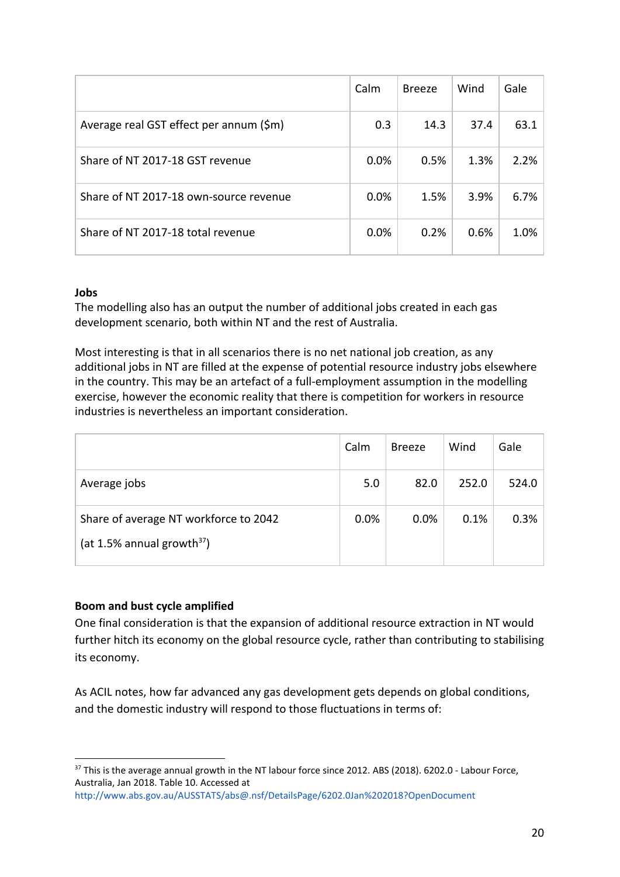|                                         | Calm | <b>Breeze</b> | Wind | Gale |
|-----------------------------------------|------|---------------|------|------|
| Average real GST effect per annum (\$m) | 0.3  | 14.3          | 37.4 | 63.1 |
| Share of NT 2017-18 GST revenue         | 0.0% | 0.5%          | 1.3% | 2.2% |
| Share of NT 2017-18 own-source revenue  | 0.0% | 1.5%          | 3.9% | 6.7% |
| Share of NT 2017-18 total revenue       | 0.0% | 0.2%          | 0.6% | 1.0% |

#### **Jobs**

The modelling also has an output the number of additional jobs created in each gas development scenario, both within NT and the rest of Australia.

Most interesting is that in all scenarios there is no net national job creation, as any additional jobs in NT are filled at the expense of potential resource industry jobs elsewhere in the country. This may be an artefact of a full-employment assumption in the modelling exercise, however the economic reality that there is competition for workers in resource industries is nevertheless an important consideration.

|                                                                        | Calm | <b>Breeze</b> | Wind  | Gale  |
|------------------------------------------------------------------------|------|---------------|-------|-------|
| Average jobs                                                           | 5.0  | 82.0          | 252.0 | 524.0 |
| Share of average NT workforce to 2042<br>(at 1.5% annual growth $37$ ) | 0.0% | 0.0%          | 0.1%  | 0.3%  |

#### **Boom and bust cycle amplified**

One final consideration is that the expansion of additional resource extraction in NT would further hitch its economy on the global resource cycle, rather than contributing to stabilising its economy.

As ACIL notes, how far advanced any gas development gets depends on global conditions, and the domestic industry will respond to those fluctuations in terms of:

<sup>&</sup>lt;sup>37</sup> This is the average annual growth in the NT labour force since 2012. ABS (2018). 6202.0 - Labour Force, Australia, Jan 2018. Table 10. Accessed at

http://www.abs.gov.au/AUSSTATS/abs@.nsf/DetailsPage/6202.0Jan%202018?OpenDocument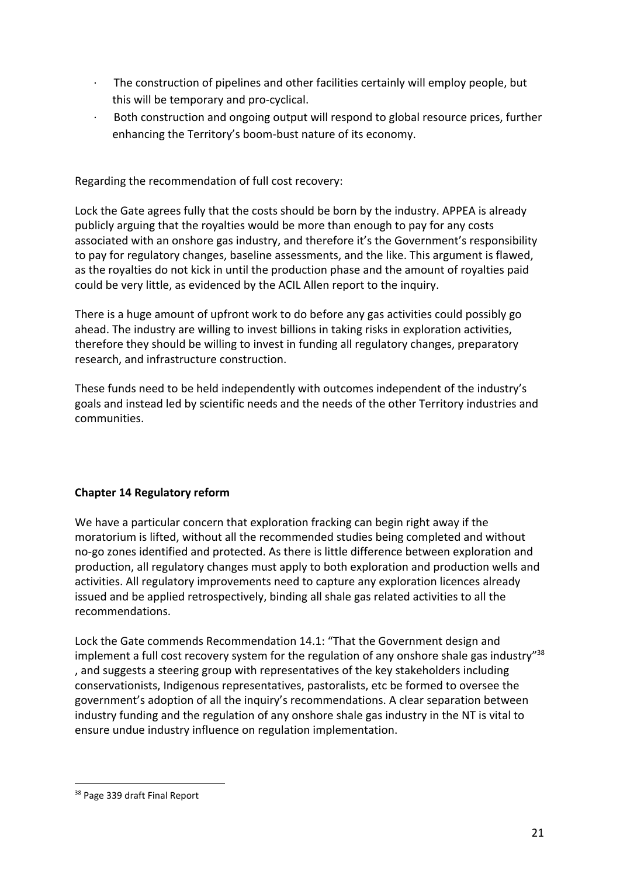- · The construction of pipelines and other facilities certainly will employ people, but this will be temporary and pro-cyclical.
- Both construction and ongoing output will respond to global resource prices, further enhancing the Territory's boom-bust nature of its economy.

Regarding the recommendation of full cost recovery:

Lock the Gate agrees fully that the costs should be born by the industry. APPEA is already publicly arguing that the royalties would be more than enough to pay for any costs associated with an onshore gas industry, and therefore it's the Government's responsibility to pay for regulatory changes, baseline assessments, and the like. This argument is flawed, as the royalties do not kick in until the production phase and the amount of royalties paid could be very little, as evidenced by the ACIL Allen report to the inquiry.

There is a huge amount of upfront work to do before any gas activities could possibly go ahead. The industry are willing to invest billions in taking risks in exploration activities, therefore they should be willing to invest in funding all regulatory changes, preparatory research, and infrastructure construction.

These funds need to be held independently with outcomes independent of the industry's goals and instead led by scientific needs and the needs of the other Territory industries and communities.

# **Chapter 14 Regulatory reform**

We have a particular concern that exploration fracking can begin right away if the moratorium is lifted, without all the recommended studies being completed and without no-go zones identified and protected. As there is little difference between exploration and production, all regulatory changes must apply to both exploration and production wells and activities. All regulatory improvements need to capture any exploration licences already issued and be applied retrospectively, binding all shale gas related activities to all the recommendations.

Lock the Gate commends Recommendation 14.1: "That the Government design and implement a full cost recovery system for the regulation of any onshore shale gas industry"<sup>38</sup> , and suggests a steering group with representatives of the key stakeholders including conservationists, Indigenous representatives, pastoralists, etc be formed to oversee the government's adoption of all the inquiry's recommendations. A clear separation between industry funding and the regulation of any onshore shale gas industry in the NT is vital to ensure undue industry influence on regulation implementation.

<sup>&</sup>lt;sup>38</sup> Page 339 draft Final Report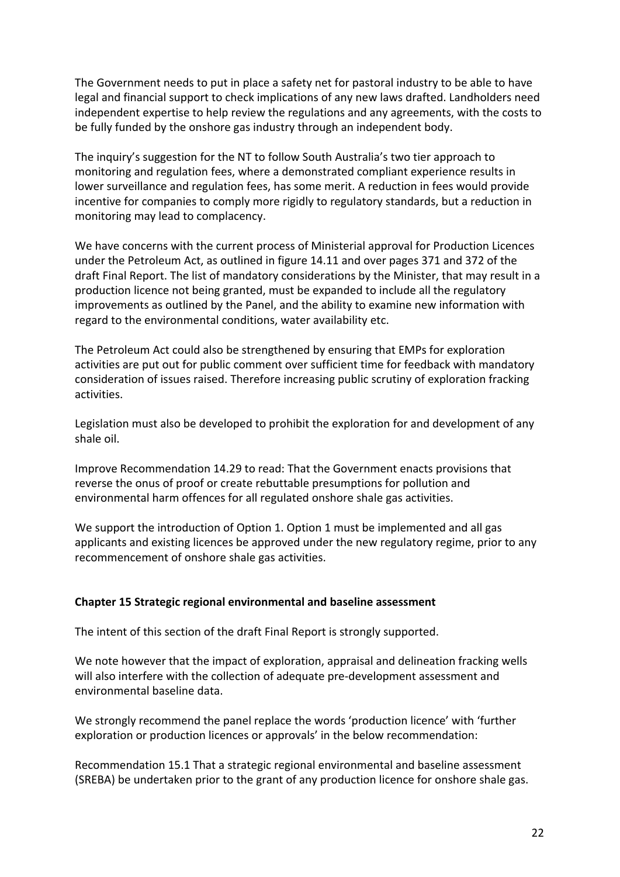The Government needs to put in place a safety net for pastoral industry to be able to have legal and financial support to check implications of any new laws drafted. Landholders need independent expertise to help review the regulations and any agreements, with the costs to be fully funded by the onshore gas industry through an independent body.

The inquiry's suggestion for the NT to follow South Australia's two tier approach to monitoring and regulation fees, where a demonstrated compliant experience results in lower surveillance and regulation fees, has some merit. A reduction in fees would provide incentive for companies to comply more rigidly to regulatory standards, but a reduction in monitoring may lead to complacency.

We have concerns with the current process of Ministerial approval for Production Licences under the Petroleum Act, as outlined in figure 14.11 and over pages 371 and 372 of the draft Final Report. The list of mandatory considerations by the Minister, that may result in a production licence not being granted, must be expanded to include all the regulatory improvements as outlined by the Panel, and the ability to examine new information with regard to the environmental conditions, water availability etc.

The Petroleum Act could also be strengthened by ensuring that EMPs for exploration activities are put out for public comment over sufficient time for feedback with mandatory consideration of issues raised. Therefore increasing public scrutiny of exploration fracking activities.

Legislation must also be developed to prohibit the exploration for and development of any shale oil.

Improve Recommendation 14.29 to read: That the Government enacts provisions that reverse the onus of proof or create rebuttable presumptions for pollution and environmental harm offences for all regulated onshore shale gas activities.

We support the introduction of Option 1. Option 1 must be implemented and all gas applicants and existing licences be approved under the new regulatory regime, prior to any recommencement of onshore shale gas activities.

#### **Chapter 15 Strategic regional environmental and baseline assessment**

The intent of this section of the draft Final Report is strongly supported.

We note however that the impact of exploration, appraisal and delineation fracking wells will also interfere with the collection of adequate pre-development assessment and environmental baseline data.

We strongly recommend the panel replace the words 'production licence' with 'further exploration or production licences or approvals' in the below recommendation:

Recommendation 15.1 That a strategic regional environmental and baseline assessment (SREBA) be undertaken prior to the grant of any production licence for onshore shale gas.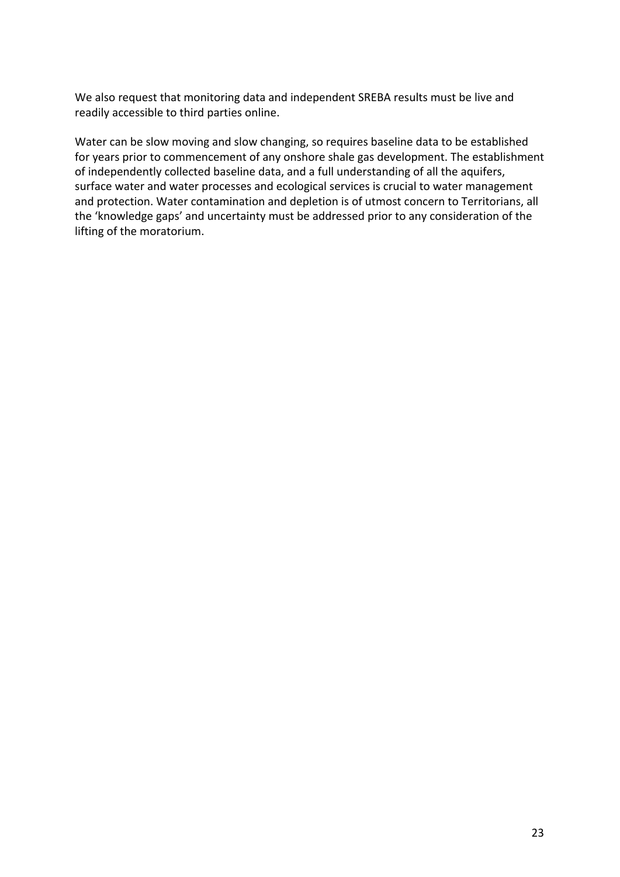We also request that monitoring data and independent SREBA results must be live and readily accessible to third parties online.

Water can be slow moving and slow changing, so requires baseline data to be established for years prior to commencement of any onshore shale gas development. The establishment of independently collected baseline data, and a full understanding of all the aquifers, surface water and water processes and ecological services is crucial to water management and protection. Water contamination and depletion is of utmost concern to Territorians, all the 'knowledge gaps' and uncertainty must be addressed prior to any consideration of the lifting of the moratorium.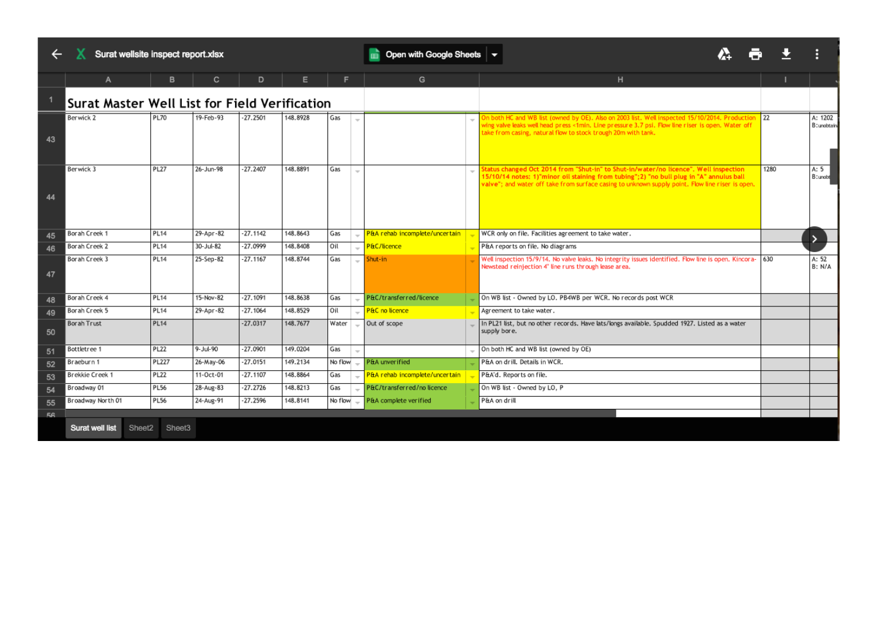← X Surat wellsite inspect report.xlsx

Open with Google Sheets  $\vert \star \vert$ 

|    |                                               |              |           | D          |          | F       |        | G                                | н                                                                                                                                                                                                                                                                                   |      |                        |
|----|-----------------------------------------------|--------------|-----------|------------|----------|---------|--------|----------------------------------|-------------------------------------------------------------------------------------------------------------------------------------------------------------------------------------------------------------------------------------------------------------------------------------|------|------------------------|
|    | Surat Master Well List for Field Verification |              |           |            |          |         |        |                                  |                                                                                                                                                                                                                                                                                     |      |                        |
| 43 | Berwick 2                                     | <b>PL70</b>  | 19-Feb-93 | $-27.2501$ | 148.8928 | Gas     | $\sim$ |                                  | On both HC and WB list (owned by OE). Also on 2003 list. Well inspected 15/10/2014. Production<br>wing valve leaks well head press <1min. Line pressure 3.7 psi. Flow line riser is open. Water off<br>take from casing, natural flow to stock trough 20m with tank.                | 22   | A: 1202<br>B: unobtain |
| 44 | Berwick 3                                     | <b>PL27</b>  | 26-Jun-98 | $-27.2407$ | 148.8891 | Gas     |        |                                  | Status changed Oct 2014 from "Shut-in" to Shut-in/water/no licence". Well inspection<br>15/10/14 notes: 1)"minor oil staining from tubing";2) "no bull plug in "A" annulus ball<br>valve"; and water off take from surface casing to unknown supply point. Flow line riser is open. | 1280 | A: $5$<br>B: unobt     |
| 45 | Borah Creek 1                                 | <b>PL14</b>  | 29-Apr-82 | $-27.1142$ | 148.8643 | Gas     |        | - P&A rehab incomplete/uncertain | WCR only on file. Facilities agreement to take water.                                                                                                                                                                                                                               |      |                        |
| 46 | Borah Creek 2                                 | <b>PL14</b>  | 30-Jul-82 | $-27.0999$ | 148.8408 | Oil     |        | P&C/licence                      | P&A reports on file. No diagrams                                                                                                                                                                                                                                                    |      |                        |
| 47 | Borah Creek 3                                 | <b>PL14</b>  | 25-Sep-82 | $-27.1167$ | 148.8744 | Gas     |        | $-$ Shut-in                      | Well inspection 15/9/14. No valve leaks. No integrity issues identified. Flow line is open. Kincora-<br>Newstead reinjection 4" line runs through lease area.                                                                                                                       | 630  | A: 52<br>B: N/A        |
| 48 | Borah Creek 4                                 | <b>PL14</b>  | 15-Nov-82 | $-27.1091$ | 148,8638 | Gas     |        | P&C/transferred/licence          | On WB list - Owned by LO. PB4WB per WCR. No records post WCR                                                                                                                                                                                                                        |      |                        |
| 49 | Borah Creek 5                                 | <b>PL14</b>  | 29-Apr-82 | $-27.1064$ | 148.8529 | Oil     |        | <b>P&amp;C</b> no licence        | Agreement to take water.                                                                                                                                                                                                                                                            |      |                        |
| 50 | Borah Trust                                   | <b>PL14</b>  |           | $-27.0317$ | 148.7677 | Water   |        | Out of scope                     | In PL21 list, but no other records. Have lats/longs available. Spudded 1927. Listed as a water<br>supply bore.                                                                                                                                                                      |      |                        |
| 51 | Bottletree 1                                  | <b>PL22</b>  | 9-Jul-90  | $-27.0901$ | 149.0204 | Gas     |        |                                  | On both HC and WB list (owned by OE)                                                                                                                                                                                                                                                |      |                        |
| 52 | Braeburn 1                                    | <b>PL227</b> | 26-May-06 | $-27.0151$ | 149.2134 | No flow |        | <b>P&amp;A</b> unverified        | P&A on drill. Details in WCR.                                                                                                                                                                                                                                                       |      |                        |
| 53 | Brekkie Creek 1                               | <b>PL22</b>  | 11-Oct-01 | $-27.1107$ | 148.8864 | Gas     |        | P&A rehab incomplete/uncertain   | P&A'd. Reports on file.                                                                                                                                                                                                                                                             |      |                        |
| 54 | Broadway 01                                   | <b>PL56</b>  | 28-Aug-83 | $-27.2726$ | 148.8213 | Gas     |        | P&C/transferred/no licence       | On WB list - Owned by LO, P                                                                                                                                                                                                                                                         |      |                        |
| 55 | Broadway North 01                             | <b>PL56</b>  | 24-Aug-91 | $-27.2596$ | 148.8141 | No flow |        | P&A complete verified            | P&A on drill                                                                                                                                                                                                                                                                        |      |                        |
| 56 |                                               |              |           |            |          |         |        |                                  |                                                                                                                                                                                                                                                                                     |      |                        |
|    | Surat well list<br>Sheet2                     | Sheet3       |           |            |          |         |        |                                  |                                                                                                                                                                                                                                                                                     |      |                        |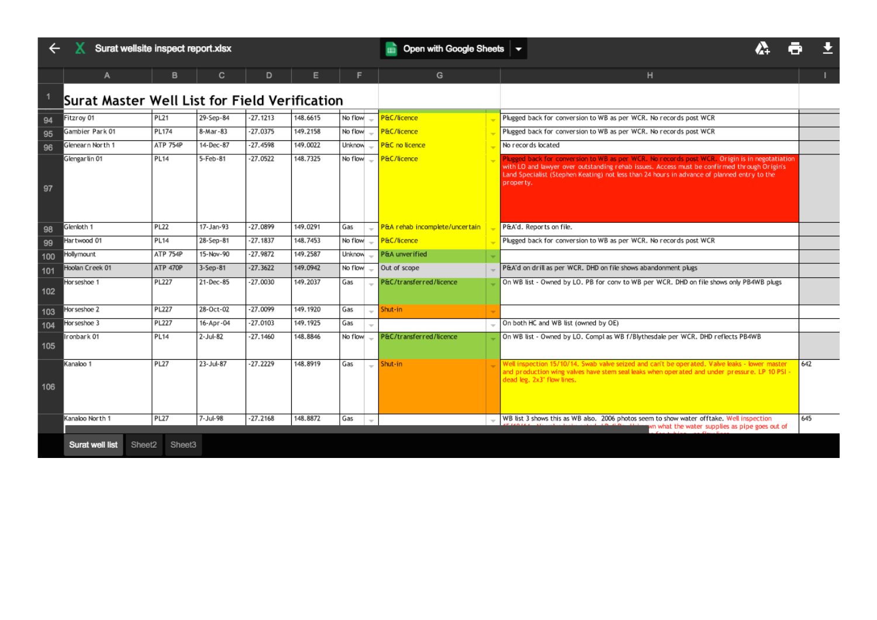|  |  |  | Surat wellsite inspect report.xlsx |
|--|--|--|------------------------------------|
|--|--|--|------------------------------------|

# 公司士

|     |                                               | в               | C              | D          |          |                                 | G                              | н                                                                                                                                                                                                                                                                                                        |     |
|-----|-----------------------------------------------|-----------------|----------------|------------|----------|---------------------------------|--------------------------------|----------------------------------------------------------------------------------------------------------------------------------------------------------------------------------------------------------------------------------------------------------------------------------------------------------|-----|
|     | Surat Master Well List for Field Verification |                 |                |            |          |                                 |                                |                                                                                                                                                                                                                                                                                                          |     |
| 94  | Fitzroy 01                                    | <b>PL21</b>     | 29-Sep-84      | $-27.1213$ | 148.6615 | No flow                         | P&C/licence                    | Plugged back for conversion to WB as per WCR. No records post WCR                                                                                                                                                                                                                                        |     |
| 95  | Gambier Park 01                               | PL174           | 8-Mar-83       | $-27.0375$ | 149.2158 | No flow                         | P&C/licence                    | Plugged back for conversion to WB as per WCR. No records post WCR                                                                                                                                                                                                                                        |     |
| 96  | Glenearn North 1                              | <b>ATP 754P</b> | 14-Dec-87      | $-27.4598$ | 149.0022 | Unknow                          | P&C no licence                 | No records located                                                                                                                                                                                                                                                                                       |     |
| 97  | Glengarlin 01                                 | <b>PL14</b>     | 5-Feb-81       | $-27.0522$ | 148.7325 | $No flow =$                     | P&C/licence                    | Plugged back for conversion to WB as per WCR. No records post WCR. Origin is in negotatiation<br>with LO and lawyer over outstanding rehab issues. Access must be confirmed through Origin's<br>Land Specialist (Stephen Keating) not less than 24 hours in advance of planned entry to the<br>property. |     |
| 98  | Glenloth 1                                    | <b>PL22</b>     | 17-Jan-93      | $-27.0899$ | 149.0291 | Gas                             | P&A rehab incomplete/uncertain | P&A'd. Reports on file.                                                                                                                                                                                                                                                                                  |     |
| 99  | Hartwood 01                                   | <b>PL14</b>     | 28-Sep-81      | $-27.1837$ | 148.7453 | No flow                         | P&C/licence                    | Plugged back for conversion to WB as per WCR. No records post WCR                                                                                                                                                                                                                                        |     |
| 100 | Hollymount                                    | <b>ATP 754P</b> | 15-Nov-90      | $-27.9872$ | 149.2587 | Unknow                          | P&A unverified                 |                                                                                                                                                                                                                                                                                                          |     |
| 101 | Hoolan Creek 01                               | ATP 470P        | $3-$ Sep $-81$ | $-27.3622$ | 149.0942 | No flow                         | Out of scope                   | P&A'd on drill as per WCR. DHD on file shows abandonment plugs                                                                                                                                                                                                                                           |     |
| 102 | Horseshoe 1                                   | PL227           | 21-Dec-85      | $-27.0030$ | 149.2037 | Gas                             | P&C/transferred/licence        | On WB list - Owned by LO. PB for conv to WB per WCR. DHD on file shows only PB4WB plugs                                                                                                                                                                                                                  |     |
| 103 | Hor seshoe 2                                  | <b>PL227</b>    | 28-Oct-02      | $-27.0099$ | 149.1920 | Gas<br>$\overline{\phantom{a}}$ | Shut-in                        |                                                                                                                                                                                                                                                                                                          |     |
| 104 | Horseshoe 3                                   | PL227           | 16-Apr-04      | $-27.0103$ | 149.1925 | Gas                             |                                | On both HC and WB list (owned by OE)                                                                                                                                                                                                                                                                     |     |
| 105 | Ironbark 01                                   | <b>PL14</b>     | 2-Jul-82       | $-27.1460$ | 148.8846 | No flow                         | P&C/transferred/licence        | On WB list - Owned by LO. Compl as WB f/Blythesdale per WCR. DHD reflects PB4WB                                                                                                                                                                                                                          |     |
| 106 | Kanaloo 1                                     | <b>PL27</b>     | 23-Jul-87      | $-27.2229$ | 148.8919 | Gas<br>$-$                      | Shut-in                        | Well inspection 15/10/14. Swab valve seized and can't be operated. Valve leaks - lower master<br>and production wing valves have stem seal leaks when operated and under pressure. LP 10 PSI<br>dead leg. 2x3" flow lines.                                                                               | 642 |
|     | Kanaloo North 1                               | <b>PL27</b>     | 7-Jul-98       | $-27.2168$ | 148.8872 | Gas<br>$\sim$                   |                                | WB list 3 shows this as WB also. 2006 photos seem to show water offtake. Well inspection<br>wn what the water supplies as pipe goes out of                                                                                                                                                               | 645 |
|     | <b>Surat well list</b><br>Sheet2              | Sheet3          |                |            |          |                                 |                                |                                                                                                                                                                                                                                                                                                          |     |